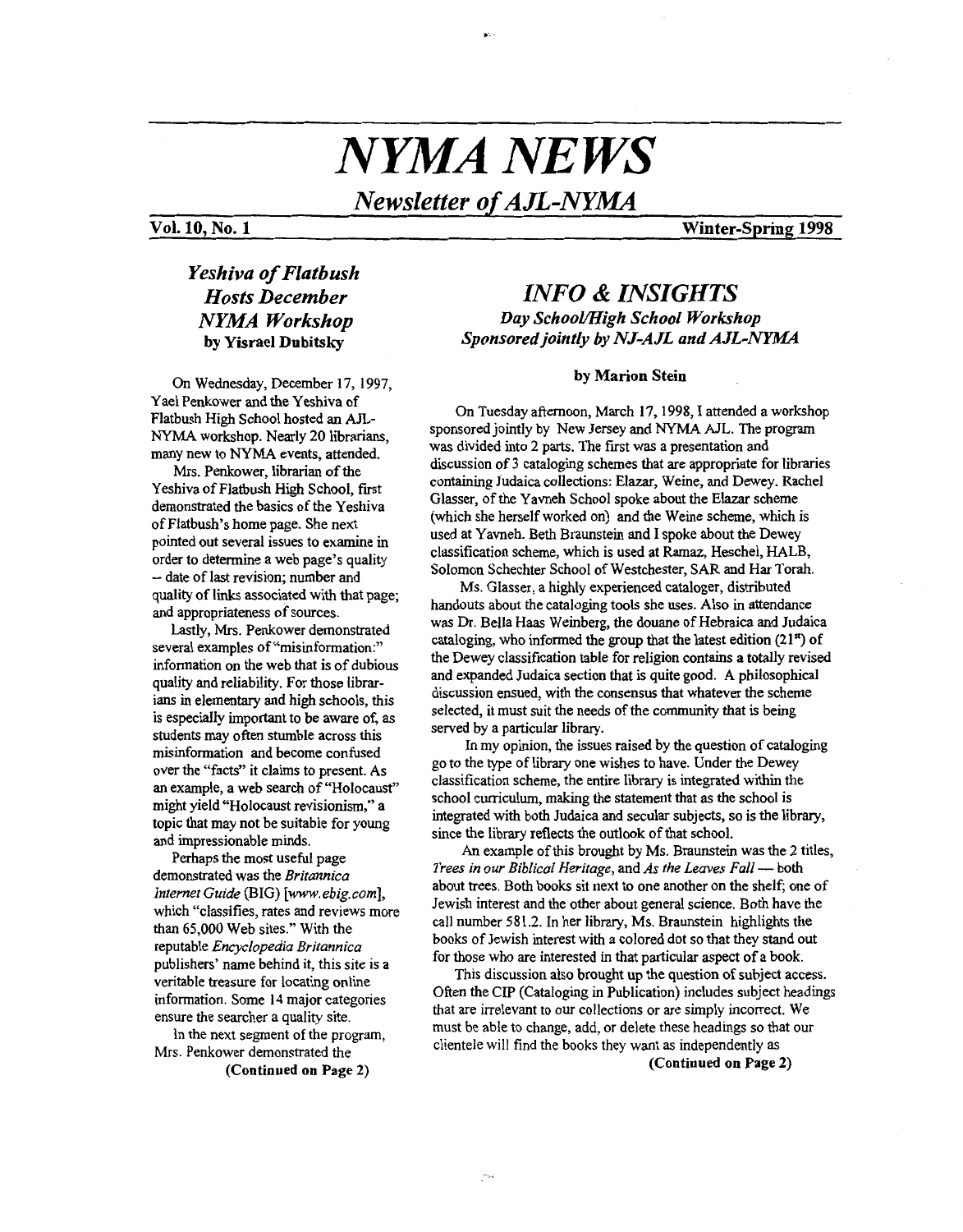# *NYMA NEWS*

*Newsletter of A JL-NYM* 

### **Vol. 10, No. 1 Winter-Spring 1998**

## *Yeshiva of Flatbush Hosts December NYMA Workshop*  **by Yisrael Dubitsky**

**On** Wednesday, December **17,1997,**  Yael Penkower and the Yeshiva of Flatbush High School hosted an *kn-*  NYMA workshop. Nearly 20 librarians, many new to NYMA events, attended.

**Mrs.** Penkower, librarian of the Yeshiva of Flatbush High School, first demonstrated the basics of the Yeshiva of Flatbush's home page. She next pointed out several issues to examine in order to determine a web page's quality -- date of last revision; number and quality of links associated with that page; and appropriateness of sources.

Lastly, **Mrs.** Penkower demonstrated several examples of "misinformation:" information on the web that is of dubious quality and reliability. **For** those librarians in elementary and high schools, this is especially important to be aware of, **as**  students may often stumble across this misinformation and become confused over the "facts" it claims to present. As an example, a web search of "Holocaust" might yield "Holocaust revisionism," a topic that may not be suitable for young and impressionable minds.

Perhaps the most usefid page demonstrated was the *Britannica Infernet Guide* (BIG) *[www. ebig. corn],*  which "classifies, rates and reviews more than 65,000 Web sites." With the reputable *Encyclopedia Britannica*  publishers' name behind it, this site is a veritable treasure for locating online information. Some 14 major categories ensure the searcher a quality site.

In the next segment of the program, Mrs. Penkower demonstrated the

(Continued on Page **2)** 

# *INFO* & *INSIGHTS Day School/High School Workshop Sponsored jointly by NJ-A JL and A JL-NYMA*

#### **by Marion Stein**

*On* Tuesday afternoon, March **17,1998,** I attended a workshop sponsored jointly by New Jersey and NYMA AJL. The program was divided into 2 **parts.** The first was a presentation and discussion of **3** cataloging schemes that are appropriate for libraries containing Judaica collections: Elazar, Weine, and Dewey. Rachel Glasser, of the Yavneh School spoke about the Elazar scheme (which she herself worked on) and the Weine scheme, which is used at Yavneh. Beth Braunstein and I spoke about the Dewey classification scheme, which **is** used at *Ramaz,* Heschel, HALB, Solomon Schechter School of Westchester, SAR and Har Torah.

**Ms.** Glasser, a highly experienced cataloger, distributed handouts about the cataloging tools she uses. Also in attendance was Dr. Bella Haas Weinberg, the douane of Hebraica and Judaica cataloging, who informed the group that the latest edition **(2 1")** of the Dewey classification table for religion contains a totally revised and expanded Judaica section that is quite good. **A** philosophical discussion ensued, with the consensus that whatever the scheme selected, it must suit the needs of the community that **is** being served by a particular library.

go to the type of library one wishes to have. Under the Dewey classification scheme, the entire library is integrated within the school curriculum, making the statement that **as** the school is integrated with both Judaica and secular subjects, so is the library, since the library reflects the **outlook** of that school. In my opinion, the issues raised by the question of cataloging

*An* example of this brought by **Ms.** Braunstein was the *2* titles, Frees in our Bibliary reflects the outlook of that school.<br>
An example of this brought by Ms. Braunstein was the 2 t<br> *Trees in our Biblical Heritage,* and *As the Leaves Fall* — both<br>
shout trees. Both backs ait part to a about trees. Both books sit next to one another on the shelf; one of Jewish interest and the other about general science. Both have the call number **58** 1.2. In her library, Ms. Braunstein highlights the books of Jewish interest with a colored dot so that they stand out for those who are interested in that particular aspect of a book.

Often the CIP (Cataloging in Publication) includes subject headings that are irrelevant to our collections or are simply incorrect. We must be able to change, add, or delete these headings so that our clientele will find the **books** they want **as** independently as This discussion also brought up the question of subject access.

(Continued **on** Page **2)**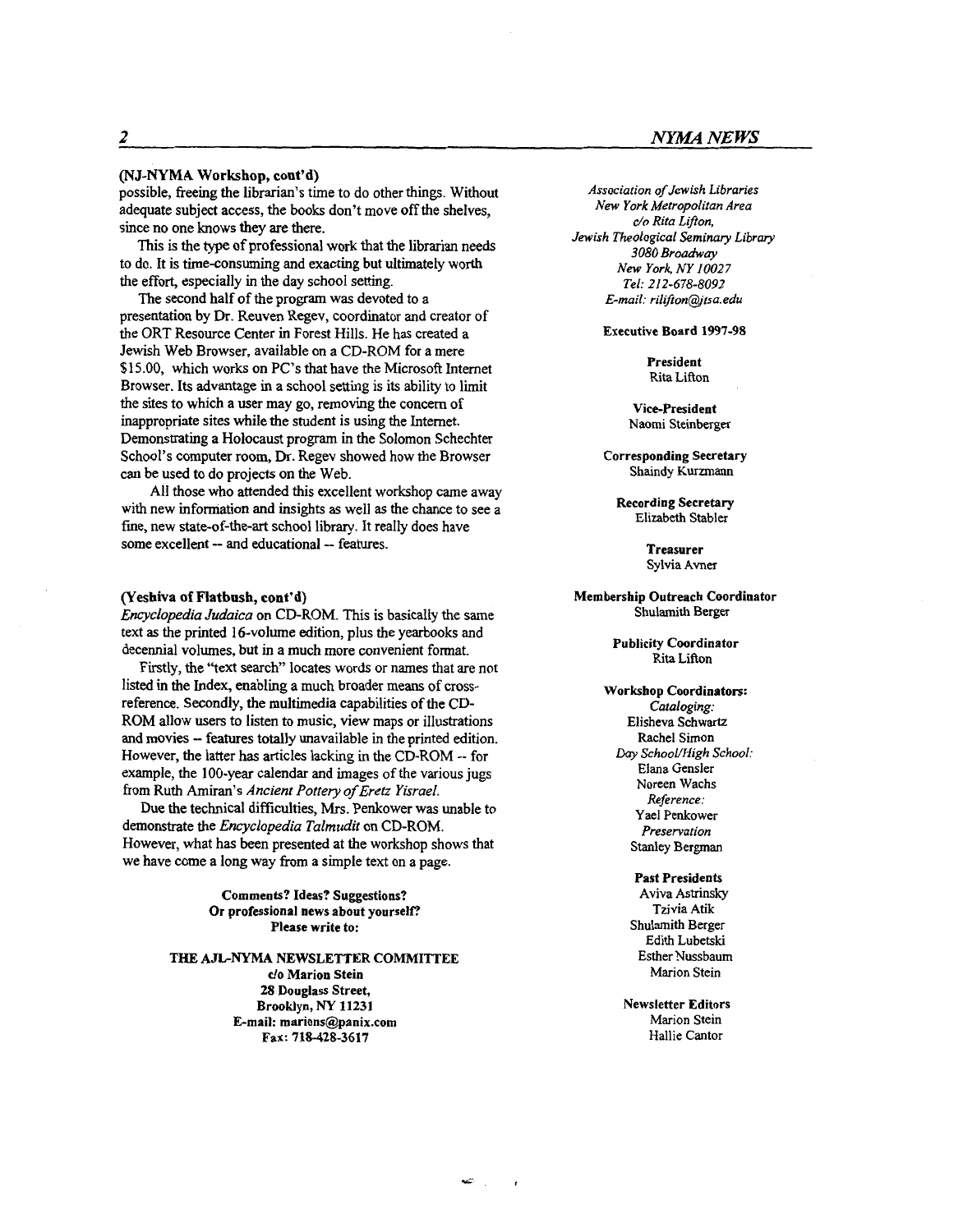#### **(NJ-NYMA** Workshop, **cont'd)**

possible, freeing the librarian's time to do other things. Without adequate subject access, the books don't move off the shelves, since no one knows they are there.

This is the **type** of professional work that the librarian needs to do. It is time-consuming and exacting but ultimately worth the effort, especially in the day school setting.

presentation by **Dr.** Reuven Regev, coordinator and creator of the ORT Resource Center in Forest Hills. He has created a Jewish Web Browser, available on a CD-ROM for a mere \$15.00, which works on PC's that have the Microsoft Internet Browser. Its advantage in a school setting is its ability to limit the sites to which a user may go, removing the concern of inappropriate sites while the student is using the Internet. Demonstrating a Holocaust program in the Solomon Schechter School's computer room, Dr. Regev showed how the Browser can be used to do projects on the Web. The second half of the program was devoted to a

A11 those who attended this excellent workshop came away with new information and insights **as** well **as** the chance to see a fine, new state-of-the-art school library. It really does have some excellent -- and educational -- features.

#### **(Yeshiva of Flatbush,** cont'd)

*Encyclopedia Judaica* on CD-ROM. **This** is basically the same text **as** the printed 16-volume edition, plus the yearbooks and decennial volumes, but in a much more convenient format.

listed in the Index, enabling a much broader means of crossreference. Secondly, the multimedia capabilities of the CD-ROM allow users to listen to music, view maps or illustrations and movies - features totally unavailable in the printed edition. However, the latter has articles lacking in the CD-ROM -- for example, the 100-year calendar and images of the various jugs from Ruth Amiran's *Ancient Pottery of Eretz Yisrael.*  Firstly, the "text search" locates words or names that are not

**Due** the technical difficulties, Mrs. Penkower was unable to demonstrate the *Encyclopedia Talmudit* on CD-ROM. However, what has been presented at the workshop shows that we have come a long way from a simple text on **a** page.

> **Comments? Ideas? Suggestions? Or professional news about yourself? Please write to:**

**THE AJLNYMA NEWSLETTER COMMITTEE**  *do* **Marion Stein** 

> **28 Douglass Street, Brooklyn,** hY **11231 E-mail: marions@panix.com Fax: 718-428-3617**

*Association of Jewish Libraries New York Metropolitan Area*  **c/o** *Rita Lif?on, Jewish Theological Seminary Library*  3080 Broadway *New York NY 10027 Tel: 212-678-8092*   $E$ -mail: rilifton@jtsa.edu

**Executive Board 1997-98** 

**President**  Rita Lifion

**Vice-president**  Naomi Steinberger

**Corresponding Secretary**  Shaindy Kurzmann

**Recording Secretary**  Elizabeth Stabler

> **Treasurer**  Sylvia Avner

**Membership Outreach Coordinator**  Shulamith Berger

> **Publicity Coordinator**  Rita Lifton

- **Workshop Coordinators:**  *Cataloging:*  Elisheva Schwartz Rachel Simon Elana Gensler Noreen Wachs *Reference:*  **Yael** Penkower *Preservation*  Stanley Bergman *Day SchooWHigh School:* 
	- **Past Presidents**  Aviva Astrinsky Tzivia Atik Shulamith Berger **Edith** Lubetski Esther Nussbaum Marion Stein

**Newsletter Editors**  Marion Stein Hallie Cantor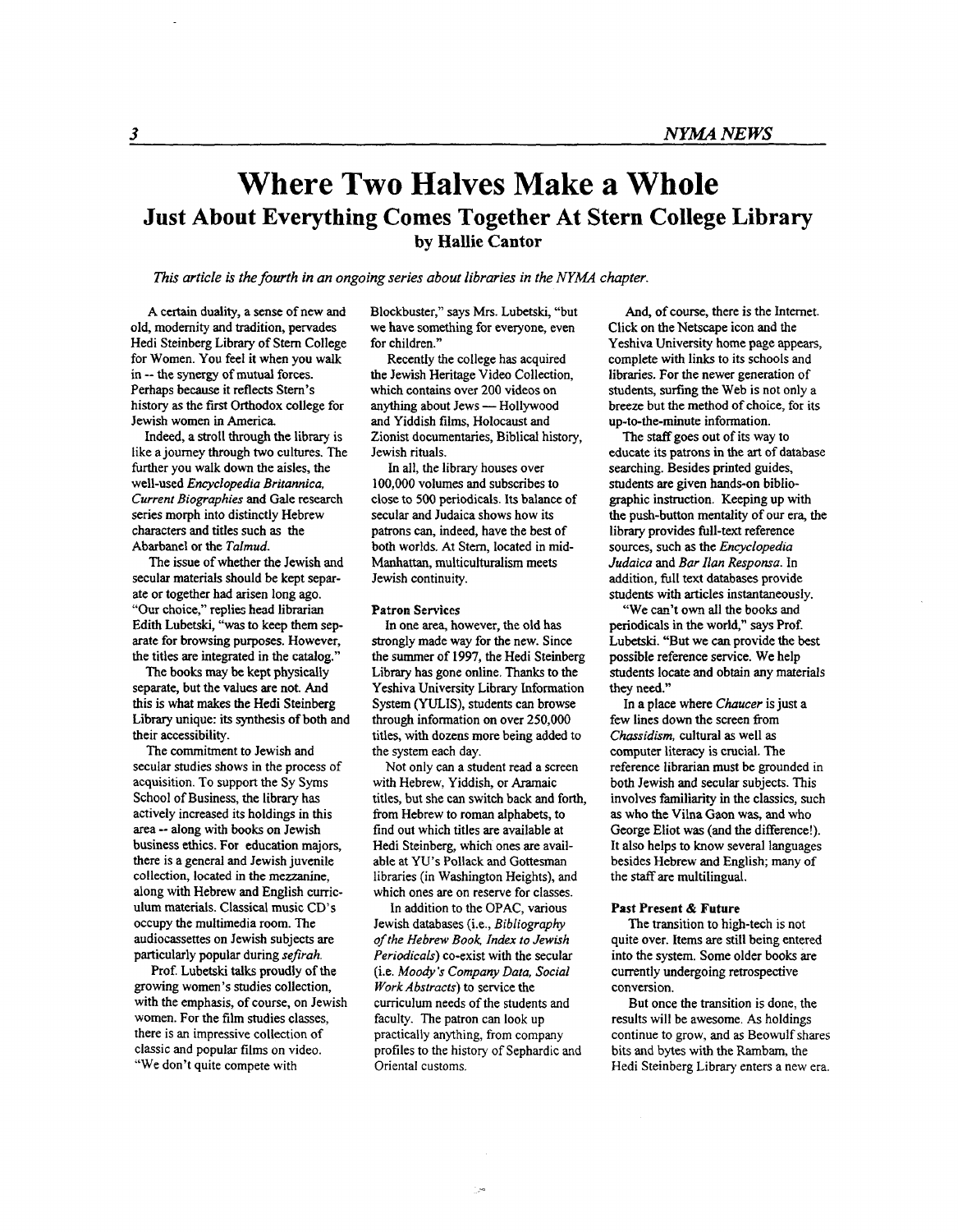# **Where Two Halves Make a Whole Just About Everything Comes Together At Stern College Library by Hallie Cantor**

*This article* is *the fourth in an ongoing series about libraries in the NYMA chapter.* 

A certain duality, a sense of new and old, modernity and tradition, pervades Hedi Steinberg Library of Stem College for Women. You feel it when you walk in -- the synergy of mutual forces. Perhaps because it reflects Stem's history **as** the first **Orthodox** college for Jewish women in America.

Indeed, a stroll through the library is like a joumey through two cultures. The further you walk down the aisles, the well-used *Encyclopedia Britannica, Current Biographies* and Gale research series morph into distinctly Hebrew characters and titles such **as** the Abarbanel or the *Talmud.* 

The issue of whether the Jewish and secular materials should be kept separate or together had arisen long ago. "Ow choice," replies head librarian Edith Lubetski, "was **to** keep them separate for browsing purposes. However, the titles are integrated in the catalog."

The books may be kept physically separate, but the values are not. And this is what makes the Hedi Steinberg Library unique: its synthesis of both and their accessibility.

The commitment to Jewish and secular studies shows in the process of acquisition. To support the Sy Syms School of Business, the library has actively increased its holdings in this area -- along with books on Jewish business ethics. For education majors, there is a general and Jewish juvenile collection, located in the mezzanine, along with Hebrew and English curriculum materials. Classical music CD's occupy the multimedia room. The audiocassettes on Jewish subjects are particularly popular during *sefrah.* 

Prof. Lubetski **talks** proudly of the growing women's studies collection, with the emphasis, of course, on Jewish women. For the film studies classes, there is **an** impressive collection of classic and popular **films** on video. "We don't quite compete with

Blockbuster," says Mrs. Lubetski, "but we have something for everyone, even for children."

Recently the college has acquired the Jewish Heritage Video Collection, which contains over 200 videos on anything about Jews - Hollywood and Yiddish films, Holocaust and Zionist documentaries, Biblical history, Jewish rituals.

In all, the library houses over 100,000 volumes and subscribes to close to *500* periodicals. Its balance of secular and Judaica shows how its patrons can, indeed, have the best of both worlds. At Stem, located in mid-Manhattan, multiculturalism meets Jewish continuity.

#### **Patron Services**

In one area, however, the old **has**  strongly made way for the new. Since the summer of 1997, the Hedi Steinberg Library has gone online. Thanks to the Yeshiva University Library Information System (YULIS), students can browse through information on over **250,000**  titles, with dozens more being added to the system each day.

Not only can a student read a screen with Hebrew, Yiddish, or Aramaic titles, but she can switch back and forth, from Hebrew to roman alphabets, to find out which titles are available at Hedi Steinberg, which ones are available at YU's Pollack and Gottesman libraries (in Washington Heights), and which ones are on reserve for classes.

In addition to the OPAC, various Jewish databases (i.e., *Bibliography of the Hebrew Book, Index to Jewish Periodicals)* co-exist with the secular (i.e. *Moody's Company Data, Social Work Abstracts)* to service the curriculum needs of the students and faculty. The patron can look up practically anything, **from** company profiles to the history of Sephardic and Oriental customs.

And, of course, there is the Internet. Click on the Netscape icon and the Yeshiva University home page appears, complete with links to its schools and libraries. For the newer generation of students, surfing the Web is not only a breeze but the method of choice, for its up-to-the-minute information.

The **staff** goes out of its way to educate its patrons in the **art** of database searching. Besides printed guides, students are given hands-on bibliographic instruction. Keeping up with the push-button mentality of our era, the library provides full-text reference sources, such **as** the *EncycIopedia Judaica* and *Bar Ilan Responsa.* In addition, full text databases provide students with articles instantaneously.

"We can't own all the books and periodicals in the world," says Prof. Lubetski. "But we can provide the **best**  possible reference service. We help students locate and obtain any materials they need."

In a place where *Chaucer* is just a few lines down the screen fiom *Chussidism,* cultural **as** well **as**  computer literacy is crucial. The reference librarian must be grounded in both Jewish and secular subjects. This involves familiarity in the classics, such **as** who the Vilna Gaon **was,** and who George Eliot was (and the difference!). It also helps to know several languages besides Hebrew and English; many of the *stafT* are multilingual.

#### Past Present & Future

The transition to high-tech is not quite over. Items are still being entered into the system. Some older books are currently undergoing retrospective conversion.

But once the transition is done, the results will be awesome. *As* holdings continue to grow, and as Beowulf shares bits and bytes with the Rambam, the Hedi Steinberg Library enters a new era.